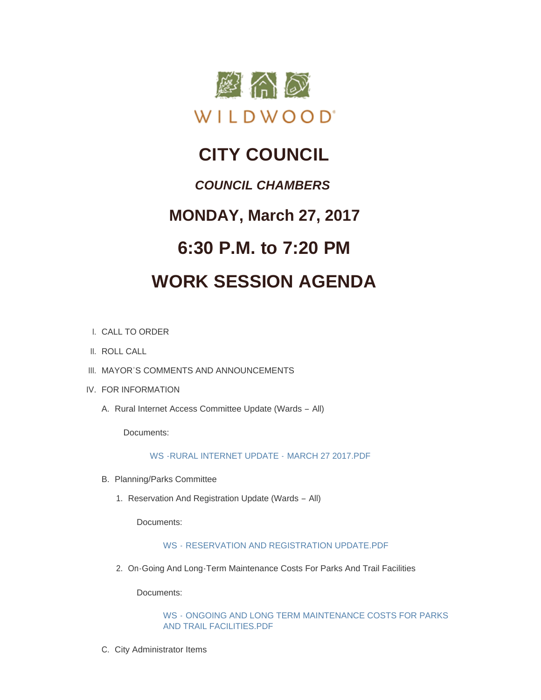

# **CITY COUNCIL**

### *COUNCIL CHAMBERS*

## **MONDAY, March 27, 2017**

## **6:30 P.M. to 7:20 PM**

# **WORK SESSION AGENDA**

- CALL TO ORDER I.
- II. ROLL CALL
- III. MAYOR'S COMMENTS AND ANNOUNCEMENTS
- IV. FOR INFORMATION
	- A. Rural Internet Access Committee Update (Wards All)

Documents:

#### [WS -RURAL INTERNET UPDATE -](http://cityofwildwood.com/AgendaCenter/ViewFile/Item/10249?fileID=14669) MARCH 27 2017.PDF

- B. Planning/Parks Committee
	- 1. Reservation And Registration Update (Wards All)

Documents:

#### WS - [RESERVATION AND REGISTRATION UPDATE.PDF](http://cityofwildwood.com/AgendaCenter/ViewFile/Item/10251?fileID=14670)

2. On-Going And Long-Term Maintenance Costs For Parks And Trail Facilities

Documents:

WS - [ONGOING AND LONG TERM MAINTENANCE COSTS FOR PARKS](http://cityofwildwood.com/AgendaCenter/ViewFile/Item/10252?fileID=14671)  AND TRAIL FACILITIES.PDF

C. City Administrator Items